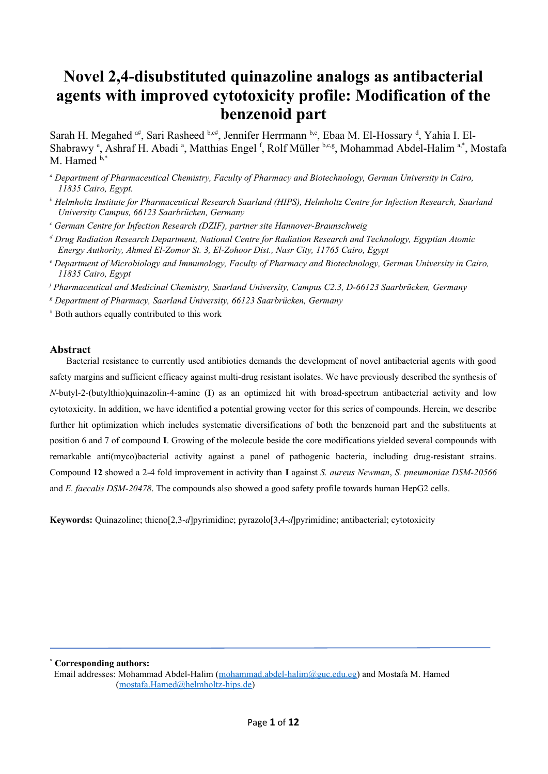## **Novel 2,4-disubstituted quinazoline analogs as antibacterial agents with improved cytotoxicity profile: Modification of the benzenoid part**

Sarah H. Megahed <sup>a#</sup>, Sari Rasheed b,c#, Jennifer Herrmann b,c, Ebaa M. El-Hossary d, Yahia I. El-Shabrawy <sup>e</sup>, Ashraf H. Abadi <sup>a</sup>, Matthias Engel <sup>f</sup>, Rolf Müller b,c,g, Mohammad Abdel-Halim <sup>a,\*</sup>, Mostafa M. Hamed  $b$ ,\*

*a Department of Pharmaceutical Chemistry, Faculty of Pharmacy and Biotechnology, German University in Cairo, 11835 Cairo, Egypt.*

*b Helmholtz Institute for Pharmaceutical Research Saarland (HIPS), Helmholtz Centre for Infection Research, Saarland University Campus, 66123 Saarbrücken, Germany* 

*c German Centre for Infection Research (DZIF), partner site Hannover-Braunschweig*

*d Drug Radiation Research Department, National Centre for Radiation Research and Technology, Egyptian Atomic Energy Authority, Ahmed El-Zomor St. 3, El-Zohoor Dist., Nasr City, 11765 Cairo, Egypt*

*e Department of Microbiology and Immunology, Faculty of Pharmacy and Biotechnology, German University in Cairo, 11835 Cairo, Egypt*

*f Pharmaceutical and Medicinal Chemistry, Saarland University, Campus C2.3, D-66123 Saarbrücken, Germany*

*g Department of Pharmacy, Saarland University, 66123 Saarbrücken, Germany*

# Both authors equally contributed to this work

## **Abstract**

Bacterial resistance to currently used antibiotics demands the development of novel antibacterial agents with good safety margins and sufficient efficacy against multi-drug resistant isolates. We have previously described the synthesis of *N*-butyl-2-(butylthio)quinazolin-4-amine (**I**) as an optimized hit with broad-spectrum antibacterial activity and low cytotoxicity. In addition, we have identified a potential growing vector for this series of compounds. Herein, we describe further hit optimization which includes systematic diversifications of both the benzenoid part and the substituents at position 6 and 7 of compound **I**. Growing of the molecule beside the core modifications yielded several compounds with remarkable anti(myco)bacterial activity against a panel of pathogenic bacteria, including drug-resistant strains. Compound **12** showed a 2-4 fold improvement in activity than **I** against *S. aureus Newman*, *S. pneumoniae DSM-20566* and *E. faecalis DSM-20478*. The compounds also showed a good safety profile towards human HepG2 cells.

**Keywords:** Quinazoline; thieno[2,3-*d*]pyrimidine; pyrazolo[3,4-*d*]pyrimidine; antibacterial; cytotoxicity

**\* Corresponding authors:**

Email addresses: Mohammad Abdel-Halim ([mohammad.abdel-halim@guc.edu.eg\)](mailto:mohammad.abdel-halim@guc.edu.eg) and Mostafa M. Hamed [\(mostafa.Hamed@helmholtz-hips.de\)](mailto:mostafa.Hamed@helmholtz-hips.de)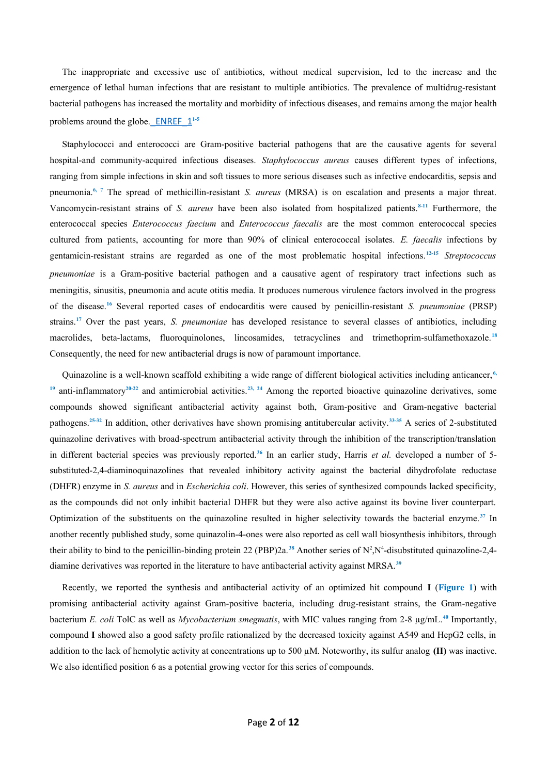The inappropriate and excessive use of antibiotics, without medical supervision, led to the increase and the emergence of lethal human infections that are resistant to multiple antibiotics. The prevalence of multidrug-resistant bacterial pathogens has increased the mortality and morbidity of infectious diseases, and remains among the major health problems around the globe. ENREF  $1^{1-5}$ 

Staphylococci and enterococci are Gram-positive bacterial pathogens that are the causative agents for several hospital-and community-acquired infectious diseases. *Staphylococcus aureus* causes different types of infections, ranging from simple infections in skin and soft tissues to more serious diseases such as infective endocarditis, sepsis and pneumonia.**6, 7** The spread of methicillin-resistant *S. aureus* (MRSA) is on escalation and presents a major threat. Vancomycin-resistant strains of *S. aureus* have been also isolated from hospitalized patients.**8-11** Furthermore, the enterococcal species *Enterococcus faecium* and *Enterococcus faecalis* are the most common enterococcal species cultured from patients, accounting for more than 90% of clinical enterococcal isolates. *E. faecalis* infections by gentamicin-resistant strains are regarded as one of the most problematic hospital infections.**12-15** *Streptococcus pneumoniae* is a Gram-positive bacterial pathogen and a causative agent of respiratory tract infections such as meningitis, sinusitis, pneumonia and acute otitis media. It produces numerous virulence factors involved in the progress of the disease.**<sup>16</sup>** Several reported cases of endocarditis were caused by penicillin-resistant *S. pneumoniae* (PRSP) strains.**<sup>17</sup>** Over the past years, *S. pneumoniae* has developed resistance to several classes of antibiotics, including macrolides, beta-lactams, fluoroquinolones, lincosamides, tetracyclines and trimethoprim-sulfamethoxazole.**<sup>18</sup>** Consequently, the need for new antibacterial drugs is now of paramount importance.

Quinazoline is a well-known scaffold exhibiting a wide range of different biological activities including anticancer, **6, <sup>19</sup>** anti-inflammatory**20-22** and antimicrobial activities.**23, 24** Among the reported bioactive quinazoline derivatives, some compounds showed significant antibacterial activity against both, Gram-positive and Gram-negative bacterial pathogens.**25-32** In addition, other derivatives have shown promising antitubercular activity.**33-35** A series of 2-substituted quinazoline derivatives with broad-spectrum antibacterial activity through the inhibition of the transcription/translation in different bacterial species was previously reported.**<sup>36</sup>** In an earlier study, Harris *et al.* developed a number of 5 substituted-2,4-diaminoquinazolines that revealed inhibitory activity against the bacterial dihydrofolate reductase (DHFR) enzyme in *S. aureus* and in *Escherichia coli*. However, this series of synthesized compounds lacked specificity, as the compounds did not only inhibit bacterial DHFR but they were also active against its bovine liver counterpart. Optimization of the substituents on the quinazoline resulted in higher selectivity towards the bacterial enzyme.**<sup>37</sup>** In another recently published study, some quinazolin-4-ones were also reported as cell wall biosynthesis inhibitors, through their ability to bind to the penicillin-binding protein 22 (PBP)2a.<sup>38</sup> Another series of  $N^2$ ,  $N^4$ -disubstituted quinazoline-2,4diamine derivatives was reported in the literature to have antibacterial activity against MRSA.**<sup>39</sup>**

Recently, we reported the synthesis and antibacterial activity of an optimized hit compound **I** (**Figure 1**) with promising antibacterial activity against Gram-positive bacteria, including drug-resistant strains, the Gram-negative bacterium *E. coli* TolC as well as *Mycobacterium smegmatis*, with MIC values ranging from 2-8 µg/mL.**<sup>40</sup>** Importantly, compound **I** showed also a good safety profile rationalized by the decreased toxicity against A549 and HepG2 cells, in addition to the lack of hemolytic activity at concentrations up to 500 µM. Noteworthy, its sulfur analog **(II)** was inactive. We also identified position 6 as a potential growing vector for this series of compounds.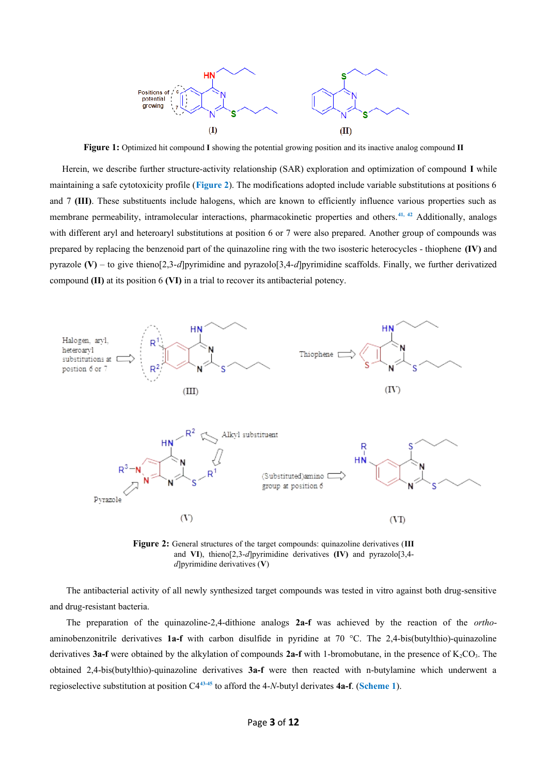

**Figure 1:** Optimized hit compound **I** showing the potential growing position and its inactive analog compound **II**

Herein, we describe further structure-activity relationship (SAR) exploration and optimization of compound **I** while maintaining a safe cytotoxicity profile (**Figure 2**). The modifications adopted include variable substitutions at positions 6 and 7 **(III)**. These substituents include halogens, which are known to efficiently influence various properties such as membrane permeability, intramolecular interactions, pharmacokinetic properties and others.**41, 42** Additionally, analogs with different aryl and heteroaryl substitutions at position 6 or 7 were also prepared. Another group of compounds was prepared by replacing the benzenoid part of the quinazoline ring with the two isosteric heterocycles - thiophene **(IV)** and pyrazole **(V)** – to give thieno[2,3-*d*]pyrimidine and pyrazolo[3,4-*d*]pyrimidine scaffolds. Finally, we further derivatized compound **(II)** at its position 6 **(VI)** in a trial to recover its antibacterial potency.



**Figure 2:** General structures of the target compounds: quinazoline derivatives (**III** and **VI**), thieno[2,3-*d*]pyrimidine derivatives **(IV)** and pyrazolo[3,4 *d*]pyrimidine derivatives (**V**)

The antibacterial activity of all newly synthesized target compounds was tested in vitro against both drug-sensitive and drug-resistant bacteria.

The preparation of the quinazoline-2,4-dithione analogs **2a-f** was achieved by the reaction of the *ortho*aminobenzonitrile derivatives **1a-f** with carbon disulfide in pyridine at 70 °C. The 2,4-bis(butylthio)-quinazoline derivatives **3a-f** were obtained by the alkylation of compounds **2a-f** with 1-bromobutane, in the presence of K<sub>2</sub>CO<sub>3</sub>. The obtained 2,4-bis(butylthio)-quinazoline derivatives **3a-f** were then reacted with n-butylamine which underwent a regioselective substitution at position C4**43-45** to afford the 4-*N*-butyl derivates **4a-f**. (**Scheme 1**).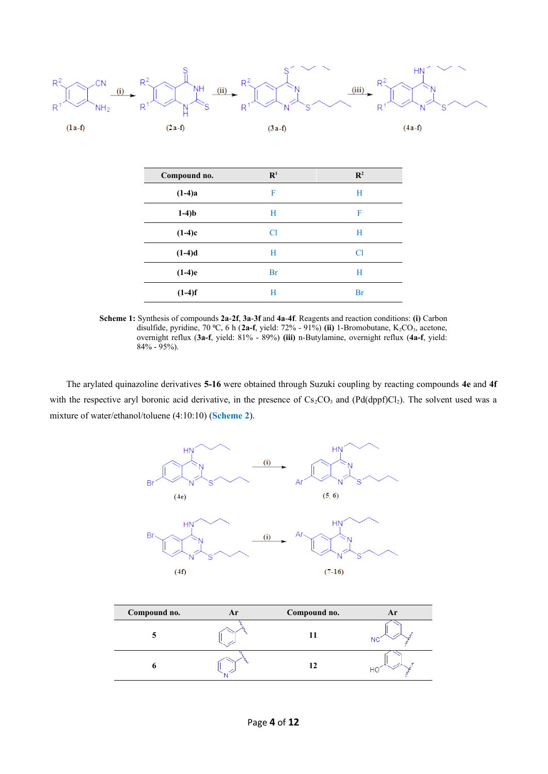

**Scheme 1:** Synthesis of compounds **2a**-**2f**, **3a**-**3f** and **4a**-**4f**. Reagents and reaction conditions: **(i)** Carbon disulfide, pyridine, 70 °C, 6 h (2a-f, yield: 72% - 91%) (ii) 1-Bromobutane, K<sub>2</sub>CO<sub>3</sub>, acetone, overnight reflux (**3a-f**, yield: 81% - 89%) **(iii)** n-Butylamine, overnight reflux (**4a-f**, yield: 84% - 95%).

The arylated quinazoline derivatives **5-16** were obtained through Suzuki coupling by reacting compounds **4e** and **4f** with the respective aryl boronic acid derivative, in the presence of  $Cs_2CO_3$  and (Pd(dppf)Cl<sub>2</sub>). The solvent used was a mixture of water/ethanol/toluene (4:10:10) (**Scheme 2**).



| Compound no. | Ar | Compound no. |  |
|--------------|----|--------------|--|
|              |    |              |  |
|              |    | 12           |  |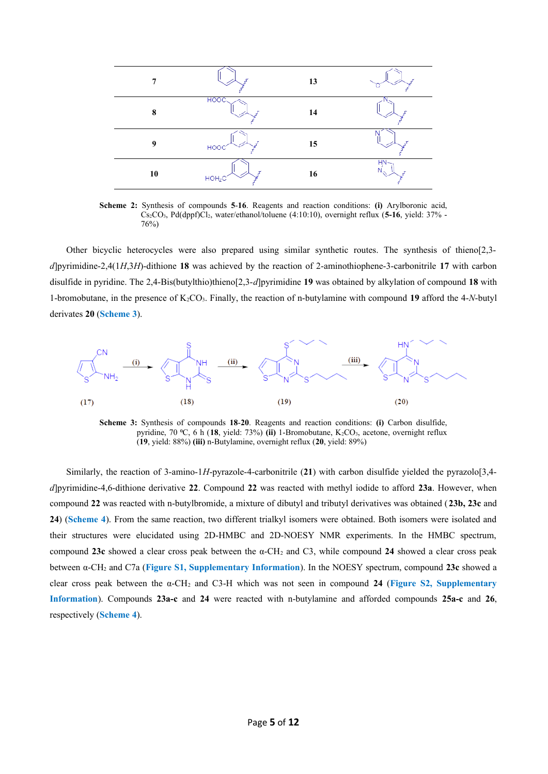

**Scheme 2:** Synthesis of compounds **5**-**16**. Reagents and reaction conditions: **(i)** Arylboronic acid, Cs2CO3, Pd(dppf)Cl2, water/ethanol/toluene (4:10:10), overnight reflux (**5-16**, yield: 37% - 76%)

Other bicyclic heterocycles were also prepared using similar synthetic routes. The synthesis of thieno[2,3 *d*]pyrimidine-2,4(1*H*,3*H*)-dithione **18** was achieved by the reaction of 2-aminothiophene-3-carbonitrile **17** with carbon disulfide in pyridine. The 2,4-Bis(butylthio)thieno[2,3-*d*]pyrimidine **19** was obtained by alkylation of compound **18** with 1-bromobutane, in the presence of K2CO3. Finally, the reaction of n-butylamine with compound **19** afford the 4-*N*-butyl derivates **20** (**Scheme 3**).



**Scheme 3:** Synthesis of compounds **18**-**20**. Reagents and reaction conditions: **(i)** Carbon disulfide, pyridine, 70 ⁰C, 6 h (**18**, yield: 73%) **(ii)** 1-Bromobutane, K2CO3, acetone, overnight reflux (**19**, yield: 88%) **(iii)** n-Butylamine, overnight reflux (**20**, yield: 89%)

Similarly, the reaction of 3-amino-1*H*-pyrazole-4-carbonitrile (**21**) with carbon disulfide yielded the pyrazolo[3,4 *d*]pyrimidine-4,6-dithione derivative **22**. Compound **22** was reacted with methyl iodide to afford **23a**. However, when compound **22** was reacted with n-butylbromide, a mixture of dibutyl and tributyl derivatives was obtained (**23b, 23c** and **24**) (**Scheme 4**). From the same reaction, two different trialkyl isomers were obtained. Both isomers were isolated and their structures were elucidated using 2D-HMBC and 2D-NOESY NMR experiments. In the HMBC spectrum, compound **23c** showed a clear cross peak between the α-CH2 and C3, while compound **24** showed a clear cross peak between α-CH2 and C7a (**Figure S1, Supplementary Information**). In the NOESY spectrum, compound **23c** showed a clear cross peak between the α-CH2 and C3-H which was not seen in compound **24** (**Figure S2, Supplementary Information**). Compounds **23a-c** and **24** were reacted with n-butylamine and afforded compounds **25a-c** and **26**, respectively (**Scheme 4**).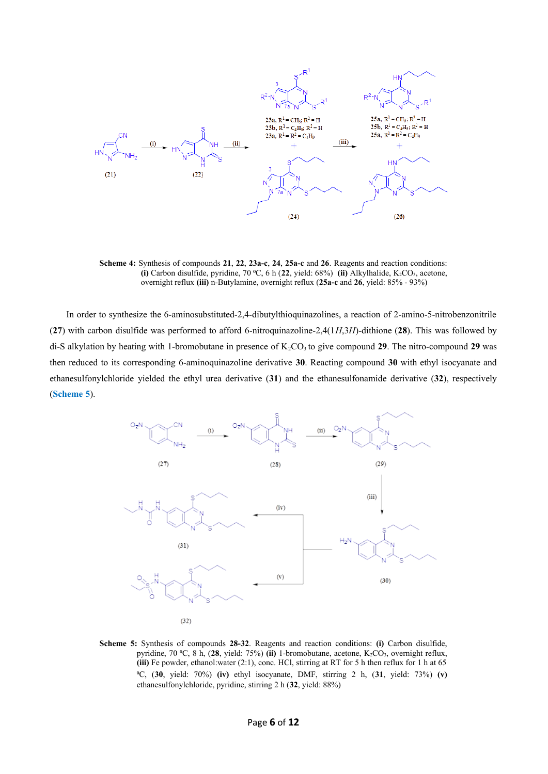

**Scheme 4:** Synthesis of compounds **21**, **22**, **23a-c**, **24**, **25a-c** and **26**. Reagents and reaction conditions: **(i)** Carbon disulfide, pyridine, 70  $\textdegree$ C, 6 h (22, yield: 68%) **(ii)** Alkylhalide, K<sub>2</sub>CO<sub>3</sub>, acetone, overnight reflux **(iii)** n-Butylamine, overnight reflux (**25a-c** and **26**, yield: 85% - 93%)

In order to synthesize the 6-aminosubstituted-2,4-dibutylthioquinazolines, a reaction of 2-amino-5-nitrobenzonitrile (**27**) with carbon disulfide was performed to afford 6-nitroquinazoline-2,4(1*H*,3*H*)-dithione (**28**). This was followed by di-S alkylation by heating with 1-bromobutane in presence of K<sub>2</sub>CO<sub>3</sub> to give compound 29. The nitro-compound 29 was then reduced to its corresponding 6-aminoquinazoline derivative **30**. Reacting compound **30** with ethyl isocyanate and ethanesulfonylchloride yielded the ethyl urea derivative (**31**) and the ethanesulfonamide derivative (**32**), respectively (**Scheme 5**).



**Scheme 5:** Synthesis of compounds **28-32**. Reagents and reaction conditions: **(i)** Carbon disulfide, pyridine, 70 °C, 8 h, (28, yield: 75%) (ii) 1-bromobutane, acetone, K<sub>2</sub>CO<sub>3</sub>, overnight reflux, **(iii)** Fe powder, ethanol:water (2:1), conc. HCl, stirring at RT for 5 h then reflux for 1 h at 65 ⁰C, (**30**, yield: 70%) **(iv)** ethyl isocyanate, DMF, stirring 2 h, (**31**, yield: 73%) **(v)** ethanesulfonylchloride, pyridine, stirring 2 h (**32**, yield: 88%)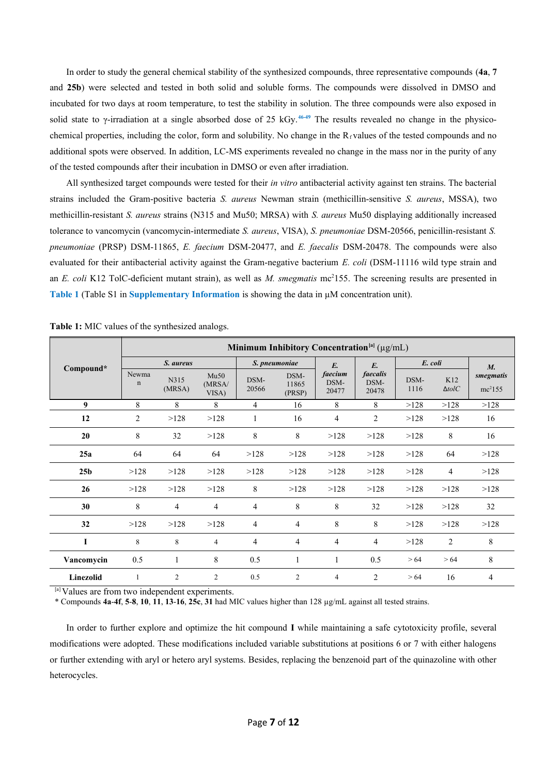In order to study the general chemical stability of the synthesized compounds, three representative compounds (**4a**, **7** and **25b**) were selected and tested in both solid and soluble forms. The compounds were dissolved in DMSO and incubated for two days at room temperature, to test the stability in solution. The three compounds were also exposed in solid state to γ-irradiation at a single absorbed dose of 25 kGy.<sup>46-49</sup> The results revealed no change in the physicochemical properties, including the color, form and solubility. No change in the  $R_f$  values of the tested compounds and no additional spots were observed. In addition, LC-MS experiments revealed no change in the mass nor in the purity of any of the tested compounds after their incubation in DMSO or even after irradiation.

All synthesized target compounds were tested for their *in vitro* antibacterial activity against ten strains. The bacterial strains included the Gram-positive bacteria *S. aureus* Newman strain (methicillin-sensitive *S. aureus*, MSSA), two methicillin-resistant *S. aureus* strains (N315 and Mu50; MRSA) with *S. aureus* Mu50 displaying additionally increased tolerance to vancomycin (vancomycin-intermediate *S. aureus*, VISA), *S. pneumoniae* DSM-20566, penicillin-resistant *S. pneumoniae* (PRSP) DSM-11865, *E. faecium* DSM-20477, and *E. faecalis* DSM-20478. The compounds were also evaluated for their antibacterial activity against the Gram-negative bacterium *E. coli* (DSM-11116 wild type strain and an *E. coli* K12 TolC-deficient mutant strain), as well as *M. smegmatis* mc<sup>2</sup>155. The screening results are presented in **Table 1** (Table S1 in **Supplementary Information** is showing the data in µM concentration unit).

| Minimum Inhibitory Concentration <sup>[a]</sup> ( $\mu$ g/mL) |                                           |                |                               |                          |                  |                   |                        |      |                          |                     |
|---------------------------------------------------------------|-------------------------------------------|----------------|-------------------------------|--------------------------|------------------|-------------------|------------------------|------|--------------------------|---------------------|
| Compound*                                                     | S. aureus<br><b>Newma</b><br>Mu50<br>N315 |                | S. pneumoniae<br>DSM-<br>DSM- |                          | $E$ .<br>faecium | $E$ .<br>faecalis | E. coli<br>K12<br>DSM- |      | $M_{\cdot}$<br>smegmatis |                     |
|                                                               | $\mathbf n$                               | (MRSA)         | (MRSA/<br>VISA)               | 20566                    | 11865<br>(PRSP)  | DSM-<br>20477     | DSM-<br>20478          | 1116 | $\Delta tolC$            | mc <sup>2</sup> 155 |
| 9                                                             | 8                                         | 8              | 8                             | $\overline{4}$           | 16               | 8                 | 8                      | >128 | >128                     | >128                |
| 12                                                            | $\overline{2}$                            | >128           | >128                          |                          | 16               | $\overline{4}$    | $\overline{2}$         | >128 | >128                     | 16                  |
| 20                                                            | 8                                         | 32             | >128                          | 8                        | 8                | >128              | >128                   | >128 | 8                        | 16                  |
| 25a                                                           | 64                                        | 64             | 64                            | >128                     | >128             | >128              | >128                   | >128 | 64                       | >128                |
| 25 <sub>b</sub>                                               | >128                                      | >128           | >128                          | >128                     | >128             | >128              | >128                   | >128 | $\overline{4}$           | >128                |
| 26                                                            | >128                                      | >128           | >128                          | 8                        | >128             | >128              | >128                   | >128 | >128                     | >128                |
| 30                                                            | $\,8\,$                                   | 4              | $\overline{4}$                | $\overline{\mathcal{L}}$ | 8                | $8\,$             | 32                     | >128 | >128                     | 32                  |
| 32                                                            | >128                                      | >128           | >128                          | $\overline{4}$           | $\overline{4}$   | 8                 | 8                      | >128 | >128                     | >128                |
| L                                                             | 8                                         | 8              | 4                             | $\overline{4}$           | $\overline{4}$   | 4                 | $\overline{4}$         | >128 | 2                        | 8                   |
| Vancomycin                                                    | 0.5                                       |                | 8                             | 0.5                      | 1                | 1                 | 0.5                    | > 64 | > 64                     | 8                   |
| Linezolid                                                     | $\mathbf{1}$                              | $\overline{2}$ | $\overline{2}$                | 0.5                      | $\overline{2}$   | $\overline{4}$    | 2                      | > 64 | 16                       | $\overline{4}$      |

**Table 1:** MIC values of the synthesized analogs.

<sup>[a]</sup> Values are from two independent experiments.

\* Compounds **4a**-**4f**, **5**-**8**, **10**, **11**, **13**-**16**, **25c**, **31** had MIC values higher than 128 µg/mL against all tested strains.

In order to further explore and optimize the hit compound **I** while maintaining a safe cytotoxicity profile, several modifications were adopted. These modifications included variable substitutions at positions 6 or 7 with either halogens or further extending with aryl or hetero aryl systems. Besides, replacing the benzenoid part of the quinazoline with other heterocycles.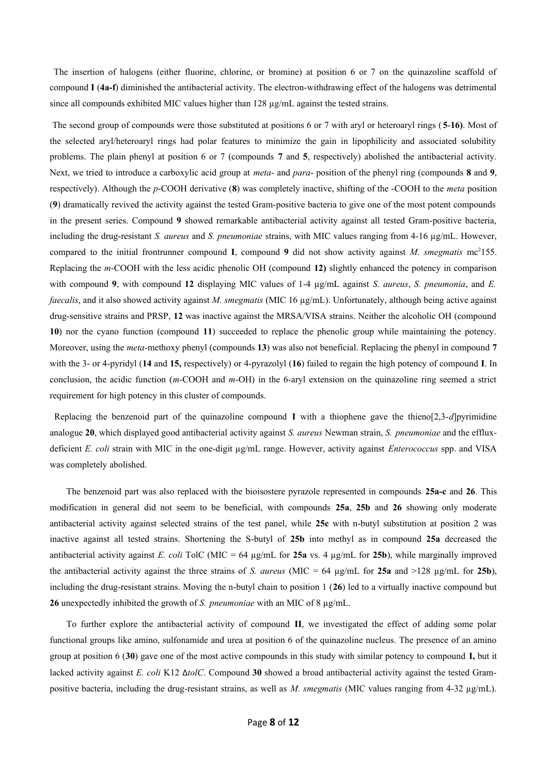The insertion of halogens (either fluorine, chlorine, or bromine) at position 6 or 7 on the quinazoline scaffold of compound **I** (**4a-f**) diminished the antibacterial activity. The electron-withdrawing effect of the halogens was detrimental since all compounds exhibited MIC values higher than  $128 \mu g/mL$  against the tested strains.

 The second group of compounds were those substituted at positions 6 or 7 with aryl or heteroaryl rings ( **5**-**16)**. Most of the selected aryl/heteroaryl rings had polar features to minimize the gain in lipophilicity and associated solubility problems. The plain phenyl at position 6 or 7 (compounds **7** and **5**, respectively) abolished the antibacterial activity. Next, we tried to introduce a carboxylic acid group at *meta*- and *para*- position of the phenyl ring (compounds **8** and **9**, respectively). Although the *p*-COOH derivative (**8**) was completely inactive, shifting of the -COOH to the *meta* position (**9**) dramatically revived the activity against the tested Gram-positive bacteria to give one of the most potent compounds in the present series. Compound **9** showed remarkable antibacterial activity against all tested Gram-positive bacteria, including the drug-resistant *S. aureus* and *S. pneumoniae* strains, with MIC values ranging from 4-16 µg/mL. However, compared to the initial frontrunner compound **I**, compound **9** did not show activity against *M. smegmatis* mc<sup>2</sup>155. Replacing the *m*-COOH with the less acidic phenolic OH (compound **12)** slightly enhanced the potency in comparison with compound **9**, with compound **12** displaying MIC values of 1-4  $\mu$ g/mL against *S. aureus*, *S. pneumonia*, and *E. faecalis*, and it also showed activity against *M. smegmatis* (MIC 16 µg/mL). Unfortunately, although being active against drug-sensitive strains and PRSP, **12** was inactive against the MRSA/VISA strains. Neither the alcoholic OH (compound **10**) nor the cyano function (compound **11**) succeeded to replace the phenolic group while maintaining the potency. Moreover, using the *meta*-methoxy phenyl (compounds **13**) was also not beneficial. Replacing the phenyl in compound **7** with the 3- or 4-pyridyl (**14** and **15,** respectively) or 4-pyrazolyl (**16**) failed to regain the high potency of compound **I**. In conclusion, the acidic function (*m*-COOH and *m*-OH) in the 6-aryl extension on the quinazoline ring seemed a strict requirement for high potency in this cluster of compounds.

 Replacing the benzenoid part of the quinazoline compound **I** with a thiophene gave the thieno[2,3-*d*]pyrimidine analogue **20**, which displayed good antibacterial activity against *S. aureus* Newman strain, *S. pneumoniae* and the effluxdeficient *E. coli* strain with MIC in the one-digit µg/mL range. However, activity against *Enterococcus* spp. and VISA was completely abolished.

The benzenoid part was also replaced with the bioisostere pyrazole represented in compounds **25a-c** and **26**. This modification in general did not seem to be beneficial, with compounds **25a**, **25b** and **26** showing only moderate antibacterial activity against selected strains of the test panel, while **25c** with n-butyl substitution at position 2 was inactive against all tested strains. Shortening the S-butyl of **25b** into methyl as in compound **25a** decreased the antibacterial activity against *E. coli* TolC (MIC = 64  $\mu$ g/mL for **25a** vs. 4  $\mu$ g/mL for **25b**), while marginally improved the antibacterial activity against the three strains of *S. aureus* (MIC = 64  $\mu$ g/mL for **25a** and >128  $\mu$ g/mL for **25b**), including the drug-resistant strains. Moving the n-butyl chain to position 1 (**26**) led to a virtually inactive compound but **26** unexpectedly inhibited the growth of *S. pneumoniae* with an MIC of 8 µg/mL.

To further explore the antibacterial activity of compound **II**, we investigated the effect of adding some polar functional groups like amino, sulfonamide and urea at position 6 of the quinazoline nucleus. The presence of an amino group at position 6 (**30**) gave one of the most active compounds in this study with similar potency to compound **I,** but it lacked activity against *E. coli* K12 Δ*tolC*. Compound **30** showed a broad antibacterial activity against the tested Grampositive bacteria, including the drug-resistant strains, as well as *M. smegmatis* (MIC values ranging from 4-32 µg/mL).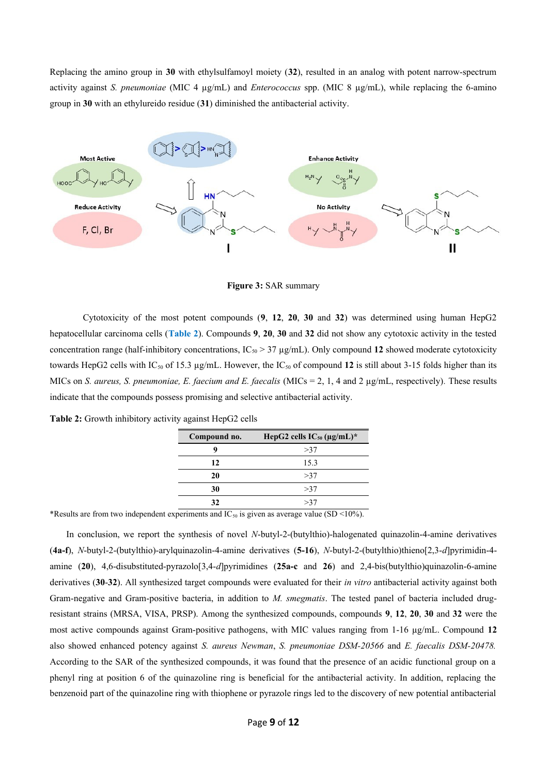Replacing the amino group in **30** with ethylsulfamoyl moiety (**32**), resulted in an analog with potent narrow-spectrum activity against *S. pneumoniae* (MIC 4 µg/mL) and *Enterococcus* spp. (MIC 8 µg/mL), while replacing the 6-amino group in **30** with an ethylureido residue (**31**) diminished the antibacterial activity.



**Figure 3:** SAR summary

Cytotoxicity of the most potent compounds (**9**, **12**, **20**, **30** and **32**) was determined using human HepG2 hepatocellular carcinoma cells (**Table 2**). Compounds **9**, **20**, **30** and **32** did not show any cytotoxic activity in the tested concentration range (half-inhibitory concentrations,  $IC_{50} > 37 \mu g/mL$ ). Only compound 12 showed moderate cytotoxicity towards HepG2 cells with  $IC_{50}$  of 15.3  $\mu$ g/mL. However, the  $IC_{50}$  of compound 12 is still about 3-15 folds higher than its MICs on *S. aureus, S. pneumoniae, E. faecium and E. faecalis* (MICs = 2, 1, 4 and 2 µg/mL, respectively). These results indicate that the compounds possess promising and selective antibacterial activity.

| Compound no. | HepG2 cells $IC_{50} (\mu g/mL)^*$ |
|--------------|------------------------------------|
| q            | >37                                |
| 12           | 15.3                               |
| 20           | >37                                |
| 30           | >37                                |
| 32           | >37                                |

**Table 2:** Growth inhibitory activity against HepG2 cells

\*Results are from two independent experiments and  $IC_{50}$  is given as average value (SD <10%).

In conclusion, we report the synthesis of novel *N*-butyl-2-(butylthio)-halogenated quinazolin-4-amine derivatives (**4a-f**), *N*-butyl-2-(butylthio)-arylquinazolin-4-amine derivatives (**5-16**), *N*-butyl-2-(butylthio)thieno[2,3-*d*]pyrimidin-4 amine (**20**), 4,6-disubstituted-pyrazolo[3,4-*d*]pyrimidines (**25a-c** and **26**) and 2,4-bis(butylthio)quinazolin-6-amine derivatives (**30**-**32**). All synthesized target compounds were evaluated for their *in vitro* antibacterial activity against both Gram-negative and Gram-positive bacteria, in addition to *M. smegmatis*. The tested panel of bacteria included drugresistant strains (MRSA, VISA, PRSP). Among the synthesized compounds, compounds **9**, **12**, **20**, **30** and **32** were the most active compounds against Gram-positive pathogens, with MIC values ranging from 1-16 µg/mL. Compound **12** also showed enhanced potency against *S. aureus Newman*, *S. pneumoniae DSM-20566* and *E. faecalis DSM-20478.* According to the SAR of the synthesized compounds, it was found that the presence of an acidic functional group on a phenyl ring at position 6 of the quinazoline ring is beneficial for the antibacterial activity. In addition, replacing the benzenoid part of the quinazoline ring with thiophene or pyrazole rings led to the discovery of new potential antibacterial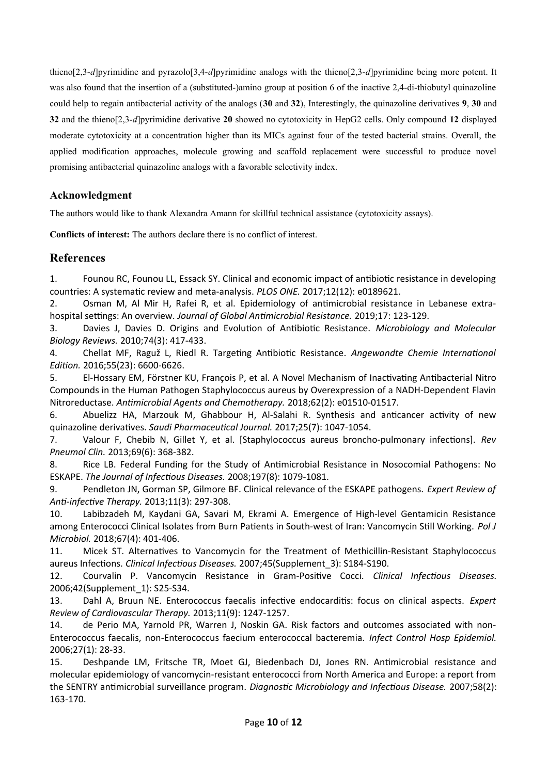thieno[2,3-*d*]pyrimidine and pyrazolo[3,4-*d*]pyrimidine analogs with the thieno[2,3-*d*]pyrimidine being more potent. It was also found that the insertion of a (substituted-)amino group at position 6 of the inactive 2,4-di-thiobutyl quinazoline could help to regain antibacterial activity of the analogs (**30** and **32**), Interestingly, the quinazoline derivatives **9**, **30** and **32** and the thieno[2,3-*d*]pyrimidine derivative **20** showed no cytotoxicity in HepG2 cells. Only compound **12** displayed moderate cytotoxicity at a concentration higher than its MICs against four of the tested bacterial strains. Overall, the applied modification approaches, molecule growing and scaffold replacement were successful to produce novel promising antibacterial quinazoline analogs with a favorable selectivity index.

## **Acknowledgment**

The authors would like to thank Alexandra Amann for skillful technical assistance (cytotoxicity assays).

**Conflicts of interest:** The authors declare there is no conflict of interest.

## **References**

<span id="page-9-0"></span>1. Founou RC, Founou LL, Essack SY. Clinical and economic impact of antibiotic resistance in developing countries: A systematic review and meta-analysis. *PLOS ONE.* 2017;12(12): e0189621.

2. Osman M, Al Mir H, Rafei R, et al. Epidemiology of antimicrobial resistance in Lebanese extrahospital settings: An overview. *Journal of Global Antimicrobial Resistance.* 2019;17: 123-129.

3. Davies J, Davies D. Origins and Evolution of Antibiotic Resistance. *Microbiology and Molecular Biology Reviews.* 2010;74(3): 417-433.

4. Chellat MF, Raguž L, Riedl R. Targeting Antibiotic Resistance. *Angewandte Chemie International Edition.* 2016;55(23): 6600-6626.

5. El-Hossary EM, Förstner KU, François P, et al. A Novel Mechanism of Inactivating Antibacterial Nitro Compounds in the Human Pathogen Staphylococcus aureus by Overexpression of a NADH-Dependent Flavin Nitroreductase. *Antimicrobial Agents and Chemotherapy.* 2018;62(2): e01510-01517.

6. Abuelizz HA, Marzouk M, Ghabbour H, Al-Salahi R. Synthesis and anticancer activity of new quinazoline derivatives. *Saudi Pharmaceutical Journal.* 2017;25(7): 1047-1054.

7. Valour F, Chebib N, Gillet Y, et al. [Staphylococcus aureus broncho-pulmonary infections]. *Rev Pneumol Clin.* 2013;69(6): 368-382.

8. Rice LB. Federal Funding for the Study of Antimicrobial Resistance in Nosocomial Pathogens: No ESKAPE. *The Journal of Infectious Diseases.* 2008;197(8): 1079-1081.

9. Pendleton JN, Gorman SP, Gilmore BF. Clinical relevance of the ESKAPE pathogens. *Expert Review of Anti-infective Therapy.* 2013;11(3): 297-308.

10. Labibzadeh M, Kaydani GA, Savari M, Ekrami A. Emergence of High-level Gentamicin Resistance among Enterococci Clinical Isolates from Burn Patients in South-west of Iran: Vancomycin Still Working. *Pol J Microbiol.* 2018;67(4): 401-406.

11. Micek ST. Alternatives to Vancomycin for the Treatment of Methicillin-Resistant Staphylococcus aureus Infections. *Clinical Infectious Diseases.* 2007;45(Supplement\_3): S184-S190.

12. Courvalin P. Vancomycin Resistance in Gram-Positive Cocci. *Clinical Infectious Diseases.* 2006;42(Supplement\_1): S25-S34.

13. Dahl A, Bruun NE. Enterococcus faecalis infective endocarditis: focus on clinical aspects. *Expert Review of Cardiovascular Therapy.* 2013;11(9): 1247-1257.

14. de Perio MA, Yarnold PR, Warren J, Noskin GA. Risk factors and outcomes associated with non-Enterococcus faecalis, non-Enterococcus faecium enterococcal bacteremia. *Infect Control Hosp Epidemiol.* 2006;27(1): 28-33.

15. Deshpande LM, Fritsche TR, Moet GJ, Biedenbach DJ, Jones RN. Antimicrobial resistance and molecular epidemiology of vancomycin-resistant enterococci from North America and Europe: a report from the SENTRY antimicrobial surveillance program. *Diagnostic Microbiology and Infectious Disease.* 2007;58(2): 163-170.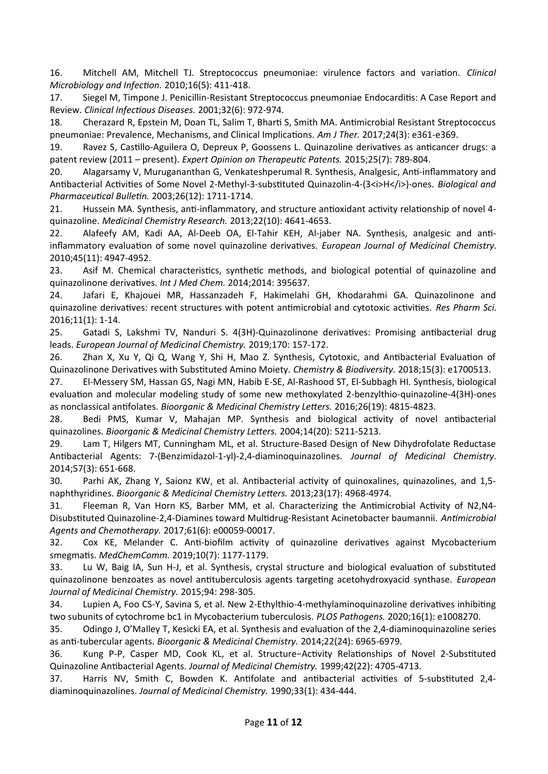16. Mitchell AM, Mitchell TJ. Streptococcus pneumoniae: virulence factors and variation. *Clinical Microbiology and Infection.* 2010;16(5): 411-418.

17. Siegel M, Timpone J. Penicillin-Resistant Streptococcus pneumoniae Endocarditis: A Case Report and Review. *Clinical Infectious Diseases.* 2001;32(6): 972-974.

18. Cherazard R, Epstein M, Doan TL, Salim T, Bharti S, Smith MA. Antimicrobial Resistant Streptococcus pneumoniae: Prevalence, Mechanisms, and Clinical Implications. *Am J Ther.* 2017;24(3): e361-e369.

19. Ravez S, Castillo-Aguilera O, Depreux P, Goossens L. Quinazoline derivatives as anticancer drugs: a patent review (2011 – present). *Expert Opinion on Therapeutic Patents.* 2015;25(7): 789-804.

20. Alagarsamy V, Murugananthan G, Venkateshperumal R. Synthesis, Analgesic, Anti-inflammatory and Antibacterial Activities of Some Novel 2-Methyl-3-substituted Quinazolin-4-(3<i>H</i>>l-ones. Biological and *Pharmaceutical Bulletin.* 2003;26(12): 1711-1714.

21. Hussein MA. Synthesis, anti-inflammatory, and structure antioxidant activity relationship of novel 4 quinazoline. *Medicinal Chemistry Research.* 2013;22(10): 4641-4653.

22. Alafeefy AM, Kadi AA, Al-Deeb OA, El-Tahir KEH, Al-jaber NA. Synthesis, analgesic and antiinflammatory evaluation of some novel quinazoline derivatives. *European Journal of Medicinal Chemistry.* 2010;45(11): 4947-4952.

23. Asif M. Chemical characteristics, synthetic methods, and biological potential of quinazoline and quinazolinone derivatives. *Int J Med Chem.* 2014;2014: 395637.

24. Jafari E, Khajouei MR, Hassanzadeh F, Hakimelahi GH, Khodarahmi GA. Quinazolinone and quinazoline derivatives: recent structures with potent antimicrobial and cytotoxic activities. *Res Pharm Sci.* 2016;11(1): 1-14.

25. Gatadi S, Lakshmi TV, Nanduri S. 4(3H)-Quinazolinone derivatives: Promising antibacterial drug leads. *European Journal of Medicinal Chemistry.* 2019;170: 157-172.

26. Zhan X, Xu Y, Qi Q, Wang Y, Shi H, Mao Z. Synthesis, Cytotoxic, and Antibacterial Evaluation of Quinazolinone Derivatives with Substituted Amino Moiety. *Chemistry & Biodiversity.* 2018;15(3): e1700513.

27. El-Messery SM, Hassan GS, Nagi MN, Habib E-SE, Al-Rashood ST, El-Subbagh HI. Synthesis, biological evaluation and molecular modeling study of some new methoxylated 2-benzylthio-quinazoline-4(3H)-ones as nonclassical antifolates. *Bioorganic & Medicinal Chemistry Letters.* 2016;26(19): 4815-4823.

28. Bedi PMS, Kumar V, Mahajan MP. Synthesis and biological activity of novel antibacterial quinazolines. *Bioorganic & Medicinal Chemistry Letters.* 2004;14(20): 5211-5213.

29. Lam T, Hilgers MT, Cunningham ML, et al. Structure-Based Design of New Dihydrofolate Reductase Antibacterial Agents: 7-(Benzimidazol-1-yl)-2,4-diaminoquinazolines. *Journal of Medicinal Chemistry.* 2014;57(3): 651-668.

30. Parhi AK, Zhang Y, Saionz KW, et al. Antibacterial activity of quinoxalines, quinazolines, and 1,5 naphthyridines. *Bioorganic & Medicinal Chemistry Letters.* 2013;23(17): 4968-4974.

31. Fleeman R, Van Horn KS, Barber MM, et al. Characterizing the Antimicrobial Activity of N2,N4- Disubstituted Quinazoline-2,4-Diamines toward Multidrug-Resistant Acinetobacter baumannii. *Antimicrobial Agents and Chemotherapy.* 2017;61(6): e00059-00017.

32. Cox KE, Melander C. Anti-biofilm activity of quinazoline derivatives against Mycobacterium smegmatis. *MedChemComm.* 2019;10(7): 1177-1179.

33. Lu W, Baig IA, Sun H-J, et al. Synthesis, crystal structure and biological evaluation of substituted quinazolinone benzoates as novel antituberculosis agents targeting acetohydroxyacid synthase. *European Journal of Medicinal Chemistry.* 2015;94: 298-305.

34. Lupien A, Foo CS-Y, Savina S, et al. New 2-Ethylthio-4-methylaminoquinazoline derivatives inhibiting two subunits of cytochrome bc1 in Mycobacterium tuberculosis. *PLOS Pathogens.* 2020;16(1): e1008270.

35. Odingo J, O'Malley T, Kesicki EA, et al. Synthesis and evaluation of the 2,4-diaminoquinazoline series as anti-tubercular agents. *Bioorganic & Medicinal Chemistry.* 2014;22(24): 6965-6979.

36. Kung P-P, Casper MD, Cook KL, et al. Structure−Activity Relationships of Novel 2-Substituted Quinazoline Antibacterial Agents. *Journal of Medicinal Chemistry.* 1999;42(22): 4705-4713.

37. Harris NV, Smith C, Bowden K. Antifolate and antibacterial activities of 5-substituted 2,4 diaminoquinazolines. *Journal of Medicinal Chemistry.* 1990;33(1): 434-444.